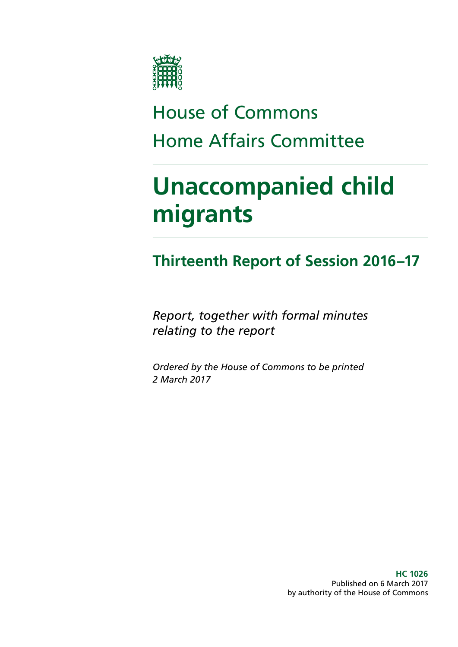

# House of Commons Home Affairs Committee

# **Unaccompanied child migrants**

# **Thirteenth Report of Session 2016–17**

*Report, together with formal minutes relating to the report*

*Ordered by the House of Commons to be printed 2 March 2017*

> **HC 1026** Published on 6 March 2017 by authority of the House of Commons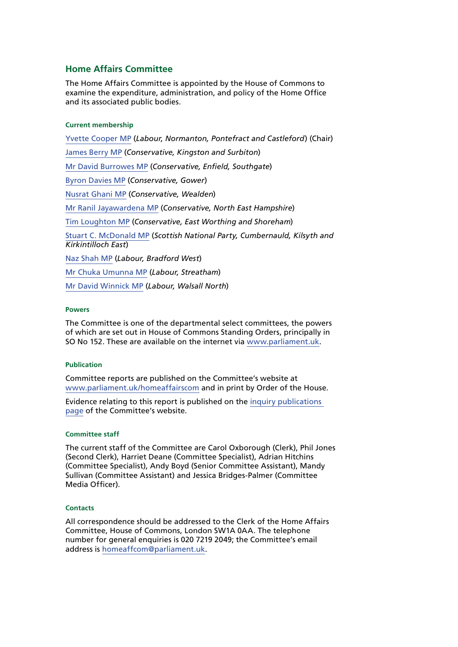### **Home Affairs Committee**

The Home Affairs Committee is appointed by the House of Commons to examine the expenditure, administration, and policy of the Home Office and its associated public bodies.

#### **Current membership**

[Yvette Cooper MP](http://www.parliament.uk/biographies/commons/yvette-cooper/420) (*Labour, Normanton, Pontefract and Castleford*) (Chair) [James Berry MP](http://www.parliament.uk/biographies/commons/james-berry/4489) (*Conservative, Kingston and Surbiton*) [Mr David Burrowes MP](http://www.parliament.uk/biographies/commons/mr-david-burrowes/1518) (*Conservative, Enfield, Southgate*) [Byron Davies MP](http://www.parliament.uk/biographies/commons/byron-davies/4499) (*Conservative, Gower*) [Nusrat Ghani MP](http://www.parliament.uk/biographies/commons/nusrat-ghani/4460) (*Conservative, Wealden*) [Mr Ranil Jayawardena MP](http://www.parliament.uk/biographies/commons/mr-ranil-jayawardena/4498) (*Conservative, North East Hampshire*) [Tim Loughton MP](http://www.parliament.uk/biographies/commons/tim-loughton/114) (*Conservative, East Worthing and Shoreham*) [Stuart C. McDonald MP](http://www.parliament.uk/biographies/commons/stuart-c.-mcdonald/4393) (*Scottish National Party, Cumbernauld, Kilsyth and Kirkintilloch East*) [Naz Shah MP](http://www.parliament.uk/biographies/commons/naz-shah/4409) (*Labour, Bradford West*) [Mr Chuka Umunna MP](http://www.parliament.uk/biographies/commons/mr-chuka-umunna/4128) (*Labour, Streatham*) [Mr David Winnick MP](http://www.parliament.uk/biographies/commons/mr-david-winnick/316) (*Labour, Walsall North*)

#### **Powers**

The Committee is one of the departmental select committees, the powers of which are set out in House of Commons Standing Orders, principally in SO No 152. These are available on the internet via [www.parliament.uk](http://www.parliament.uk/).

#### **Publication**

Committee reports are published on the Committee's website at [www.parliament.uk/homeaffairscom](http://www.parliament.uk/homeaffairscom) and in print by Order of the House.

Evidence relating to this report is published on the [inquiry publications](http://www.parliament.uk/business/committees/committees-a-z/commons-select/home-affairs-committee/inquiries/parliament-2015/inquiry15/publications/)  [page](http://www.parliament.uk/business/committees/committees-a-z/commons-select/home-affairs-committee/inquiries/parliament-2015/inquiry15/publications/) of the Committee's website.

#### **Committee staff**

The current staff of the Committee are Carol Oxborough (Clerk), Phil Jones (Second Clerk), Harriet Deane (Committee Specialist), Adrian Hitchins (Committee Specialist), Andy Boyd (Senior Committee Assistant), Mandy Sullivan (Committee Assistant) and Jessica Bridges-Palmer (Committee Media Officer).

#### **Contacts**

All correspondence should be addressed to the Clerk of the Home Affairs Committee, House of Commons, London SW1A 0AA. The telephone number for general enquiries is 020 7219 2049; the Committee's email address is [homeaffcom@parliament.uk.](mailto:homeaffcom@parliament.uk)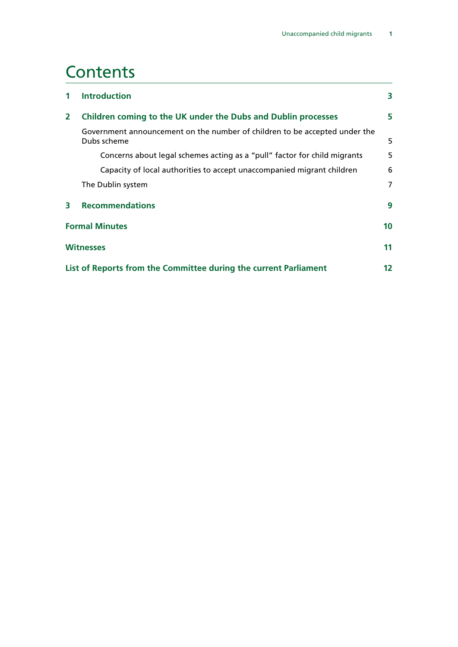# **Contents**

| $\mathbf 1$  | <b>Introduction</b>                                                                       | 3  |
|--------------|-------------------------------------------------------------------------------------------|----|
| $\mathbf{2}$ | Children coming to the UK under the Dubs and Dublin processes                             | 5  |
|              | Government announcement on the number of children to be accepted under the<br>Dubs scheme | 5  |
|              | Concerns about legal schemes acting as a "pull" factor for child migrants                 | 5  |
|              | Capacity of local authorities to accept unaccompanied migrant children                    | 6  |
|              | The Dublin system                                                                         | 7  |
| 3            | <b>Recommendations</b>                                                                    | 9  |
|              | <b>Formal Minutes</b>                                                                     |    |
|              | <b>Witnesses</b>                                                                          | 11 |
|              | List of Reports from the Committee during the current Parliament                          | 12 |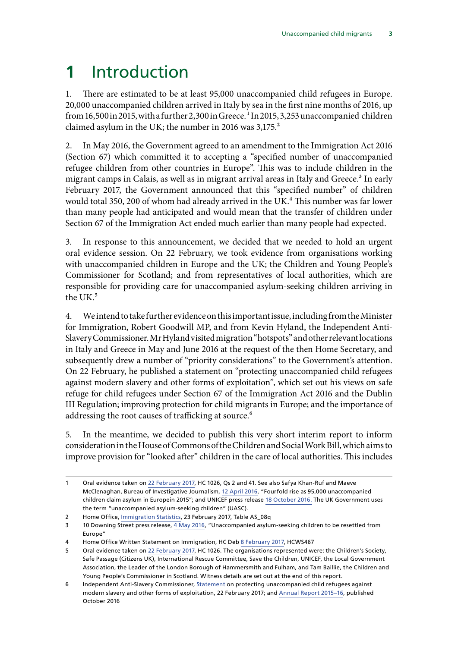# <span id="page-4-0"></span>**1** Introduction

1. There are estimated to be at least 95,000 unaccompanied child refugees in Europe. 20,000 unaccompanied children arrived in Italy by sea in the first nine months of 2016, up from 16,500 in 2015, with a further 2,300 in Greece.<sup>1</sup> In 2015, 3,253 unaccompanied children claimed asylum in the UK; the number in 2016 was  $3,175.^2$ 

2. In May 2016, the Government agreed to an amendment to the Immigration Act 2016 (Section 67) which committed it to accepting a "specified number of unaccompanied refugee children from other countries in Europe". This was to include children in the migrant camps in Calais, as well as in migrant arrival areas in Italy and Greece.<sup>3</sup> In early February 2017, the Government announced that this "specified number" of children would total 350, 200 of whom had already arrived in the UK.<sup>4</sup> This number was far lower than many people had anticipated and would mean that the transfer of children under Section 67 of the Immigration Act ended much earlier than many people had expected.

3. In response to this announcement, we decided that we needed to hold an urgent oral evidence session. On 22 February, we took evidence from organisations working with unaccompanied children in Europe and the UK; the Children and Young People's Commissioner for Scotland; and from representatives of local authorities, which are responsible for providing care for unaccompanied asylum-seeking children arriving in the UK.<sup>5</sup>

4. We intend to take further evidence on this important issue, including from the Minister for Immigration, Robert Goodwill MP, and from Kevin Hyland, the Independent Anti-Slavery Commissioner. Mr Hyland visited migration "hotspots" and other relevant locations in Italy and Greece in May and June 2016 at the request of the then Home Secretary, and subsequently drew a number of "priority considerations" to the Government's attention. On 22 February, he published a statement on "protecting unaccompanied child refugees against modern slavery and other forms of exploitation", which set out his views on safe refuge for child refugees under Section 67 of the Immigration Act 2016 and the Dublin III Regulation; improving protection for child migrants in Europe; and the importance of addressing the root causes of trafficking at source.<sup>6</sup>

5. In the meantime, we decided to publish this very short interim report to inform consideration in the House of Commons of the Children and Social Work Bill, which aims to improve provision for "looked after" children in the care of local authorities. This includes

<sup>1</sup> Oral evidence taken on [22 February 2017,](http://data.parliament.uk/writtenevidence/committeeevidence.svc/evidencedocument/home-affairs-committee/child-migrants/oral/47517.pdf) HC 1026, Qs 2 and 41. See also Safya Khan-Ruf and Maeve McClenaghan, Bureau of Investigative Journalism, [12 April 2016,](https://www.thebureauinvestigates.com/2016/04/10/revealed-fourfold-rise-95000-unaccompanied-children-claim-asylum-europe-2015/) "Fourfold rise as 95,000 unaccompanied children claim asylum in Europein 2015"; and UNICEF press release [18 October 2016.](https://www.politicshome.com/news/uk/foreign-affairs/press-release/unicef-uk/79974/record-numbers-unaccompanied-children-arrive) The UK Government uses the term "unaccompanied asylum-seeking children" (UASC).

<sup>2</sup> Home Office, Immigration Statistics, 23 February 2017, Table AS\_08q

<sup>3</sup> 10 Downing Street press release, [4 May 2016](https://www.gov.uk/government/news/unaccompanied-asylum-seeking-children-to-be-resettled-from-europe), "Unaccompanied asylum-seeking children to be resettled from Europe"

<sup>4</sup> Home Office Written Statement on Immigration, HC Deb [8 February 2017](http://www.parliament.uk/business/publications/written-questions-answers-statements/written-statement/Commons/2017-02-08/HCWS467/), HCWS467

<sup>5</sup> Oral evidence taken on [22 February 2017,](http://data.parliament.uk/writtenevidence/committeeevidence.svc/evidencedocument/home-affairs-committee/child-migrants/oral/47517.pdf) HC 1026. The organisations represented were: the Children's Society, Safe Passage (Citizens UK), International Rescue Committee, Save the Children, UNICEF, the Local Government Association, the Leader of the London Borough of Hammersmith and Fulham, and Tam Baillie, the Children and Young People's Commissioner in Scotland. Witness details are set out at the end of this report.

<sup>6</sup> Independent Anti-Slavery Commissioner, [Statement](http://www.antislaverycommissioner.co.uk/media/1127/iasc-statement-on-protecting-unaccompanied-child-refugees-against-modern-slavery.pdf) on protecting unaccompanied child refugees against modern slavery and other forms of exploitation, 22 February 2017; and [Annual Report 2015–16](http://www.antislaverycommissioner.co.uk/media/1097/annual-report-2016.pdf), published October 2016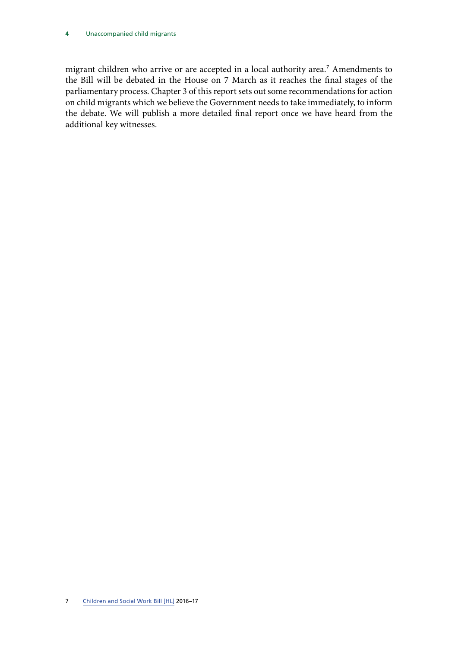#### **4** Unaccompanied child migrants

migrant children who arrive or are accepted in a local authority area.<sup>7</sup> Amendments to the Bill will be debated in the House on 7 March as it reaches the final stages of the parliamentary process. Chapter 3 of this report sets out some recommendations for action on child migrants which we believe the Government needs to take immediately, to inform the debate. We will publish a more detailed final report once we have heard from the additional key witnesses.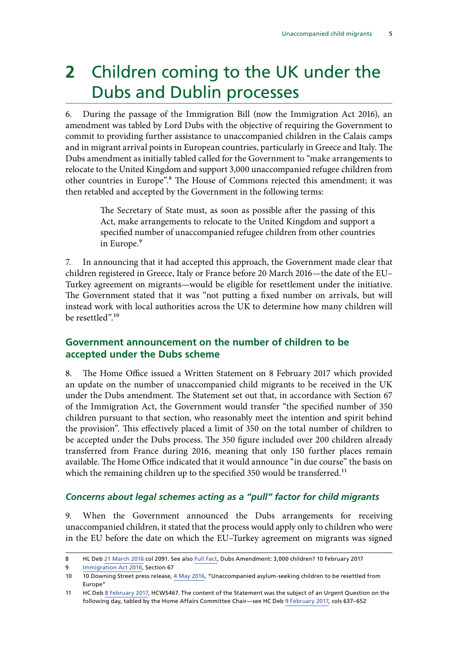# <span id="page-6-0"></span>**2** Children coming to the UK under the Dubs and Dublin processes

6. During the passage of the Immigration Bill (now the Immigration Act 2016), an amendment was tabled by Lord Dubs with the objective of requiring the Government to commit to providing further assistance to unaccompanied children in the Calais camps and in migrant arrival points in European countries, particularly in Greece and Italy. The Dubs amendment as initially tabled called for the Government to "make arrangements to relocate to the United Kingdom and support 3,000 unaccompanied refugee children from other countries in Europe".<sup>8</sup> The House of Commons rejected this amendment; it was then retabled and accepted by the Government in the following terms:

> The Secretary of State must, as soon as possible after the passing of this Act, make arrangements to relocate to the United Kingdom and support a specified number of unaccompanied refugee children from other countries in Europe.<sup>9</sup>

7. In announcing that it had accepted this approach, the Government made clear that children registered in Greece, Italy or France before 20 March 2016—the date of the EU– Turkey agreement on migrants—would be eligible for resettlement under the initiative. The Government stated that it was "not putting a fixed number on arrivals, but will instead work with local authorities across the UK to determine how many children will be resettled".10

## **Government announcement on the number of children to be accepted under the Dubs scheme**

8. The Home Office issued a Written Statement on 8 February 2017 which provided an update on the number of unaccompanied child migrants to be received in the UK under the Dubs amendment. The Statement set out that, in accordance with Section 67 of the Immigration Act, the Government would transfer "the specified number of 350 children pursuant to that section, who reasonably meet the intention and spirit behind the provision". This effectively placed a limit of 350 on the total number of children to be accepted under the Dubs process. The 350 figure included over 200 children already transferred from France during 2016, meaning that only 150 further places remain available. The Home Office indicated that it would announce "in due course" the basis on which the remaining children up to the specified 350 would be transferred.<sup>11</sup>

### *Concerns about legal schemes acting as a "pull" factor for child migrants*

9. When the Government announced the Dubs arrangements for receiving unaccompanied children, it stated that the process would apply only to children who were in the EU before the date on which the EU–Turkey agreement on migrants was signed

<sup>8</sup> HL Deb 21 March 2016 col 2091. See also [Full Fact](https://fullfact.org/immigration/dubs-amendment-3000-refugee-children/), Dubs Amendment: 3,000 children? 10 February 2017

<sup>9</sup> [Immigration Act 2016,](http://www.legislation.gov.uk/ukpga/2016/19/section/67/enacted) Section 67

<sup>10</sup> 10 Downing Street press release, [4 May 2016](https://www.gov.uk/government/news/unaccompanied-asylum-seeking-children-to-be-resettled-from-europe), "Unaccompanied asylum-seeking children to be resettled from Europe"

<sup>11</sup> HC Deb [8 February 2017,](http://www.parliament.uk/business/publications/written-questions-answers-statements/written-statement/Commons/2017-02-08/HCWS467/) HCWS467. The content of the Statement was the subject of an Urgent Question on the following day, tabled by the Home Affairs Committee Chair—see HC Deb [9 February 2017](https://hansard.parliament.uk/commons/2017-02-09/debates/441DB6F3-2F20-4A12-A13C-9CB86838707E/UnaccompaniedChildRefugees), cols 637–652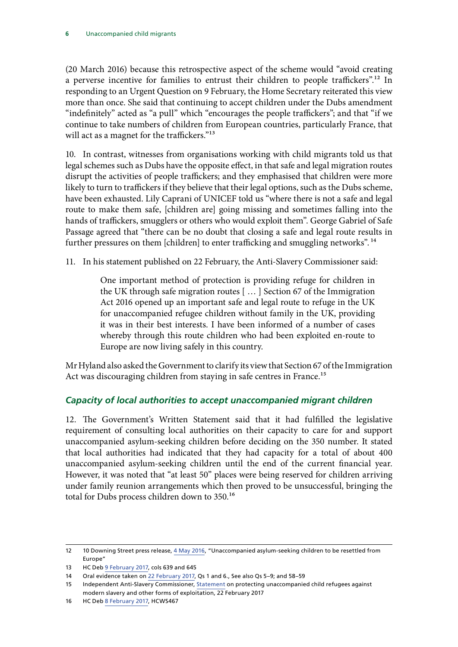<span id="page-7-0"></span>(20 March 2016) because this retrospective aspect of the scheme would "avoid creating a perverse incentive for families to entrust their children to people traffickers".<sup>12</sup> In responding to an Urgent Question on 9 February, the Home Secretary reiterated this view more than once. She said that continuing to accept children under the Dubs amendment "indefinitely" acted as "a pull" which "encourages the people traffickers"; and that "if we continue to take numbers of children from European countries, particularly France, that will act as a magnet for the traffickers."<sup>13</sup>

10. In contrast, witnesses from organisations working with child migrants told us that legal schemes such as Dubs have the opposite effect, in that safe and legal migration routes disrupt the activities of people traffickers; and they emphasised that children were more likely to turn to traffickers if they believe that their legal options, such as the Dubs scheme, have been exhausted. Lily Caprani of UNICEF told us "where there is not a safe and legal route to make them safe, [children are] going missing and sometimes falling into the hands of traffickers, smugglers or others who would exploit them". George Gabriel of Safe Passage agreed that "there can be no doubt that closing a safe and legal route results in further pressures on them [children] to enter trafficking and smuggling networks".<sup>14</sup>

11. In his statement published on 22 February, the Anti-Slavery Commissioner said:

One important method of protection is providing refuge for children in the UK through safe migration routes [ … ] Section 67 of the Immigration Act 2016 opened up an important safe and legal route to refuge in the UK for unaccompanied refugee children without family in the UK, providing it was in their best interests. I have been informed of a number of cases whereby through this route children who had been exploited en-route to Europe are now living safely in this country.

Mr Hyland also asked the Government to clarify its view that Section 67 of the Immigration Act was discouraging children from staying in safe centres in France.<sup>15</sup>

### *Capacity of local authorities to accept unaccompanied migrant children*

12. The Government's Written Statement said that it had fulfilled the legislative requirement of consulting local authorities on their capacity to care for and support unaccompanied asylum-seeking children before deciding on the 350 number. It stated that local authorities had indicated that they had capacity for a total of about 400 unaccompanied asylum-seeking children until the end of the current financial year. However, it was noted that "at least 50" places were being reserved for children arriving under family reunion arrangements which then proved to be unsuccessful, bringing the total for Dubs process children down to 350.<sup>16</sup>

<sup>12</sup> 10 Downing Street press release, [4 May 2016](https://www.gov.uk/government/news/unaccompanied-asylum-seeking-children-to-be-resettled-from-europe), "Unaccompanied asylum-seeking children to be resettled from Europe"

<sup>13</sup> HC Deb [9 February 2017,](https://hansard.parliament.uk/commons/2017-02-09/debates/441DB6F3-2F20-4A12-A13C-9CB86838707E/UnaccompaniedChildRefugees) cols 639 and 645

<sup>14</sup> Oral evidence taken on [22 February 2017,](http://data.parliament.uk/writtenevidence/committeeevidence.svc/evidencedocument/home-affairs-committee/child-migrants/oral/47517.pdf) Qs 1 and 6., See also Qs 5–9; and 58–59

<sup>15</sup> Independent Anti-Slavery Commissioner, [Statement](http://www.antislaverycommissioner.co.uk/media/1127/iasc-statement-on-protecting-unaccompanied-child-refugees-against-modern-slavery.pdf) on protecting unaccompanied child refugees against modern slavery and other forms of exploitation, 22 February 2017

<sup>16</sup> HC Deb [8 February 2017,](http://www.parliament.uk/business/publications/written-questions-answers-statements/written-statement/Commons/2017-02-08/HCWS467/) HCWS467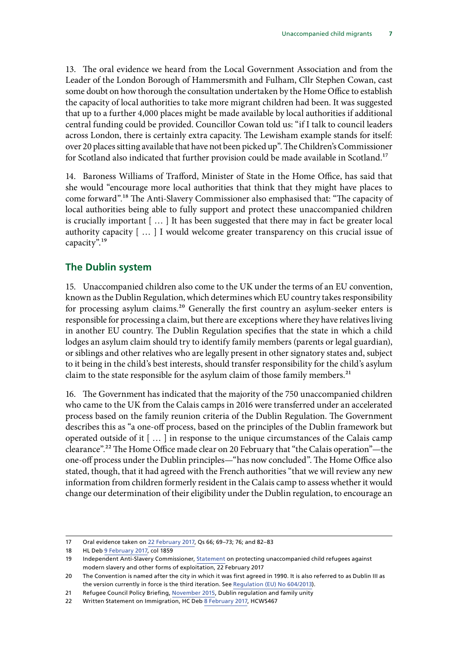<span id="page-8-0"></span>13. The oral evidence we heard from the Local Government Association and from the Leader of the London Borough of Hammersmith and Fulham, Cllr Stephen Cowan, cast some doubt on how thorough the consultation undertaken by the Home Office to establish the capacity of local authorities to take more migrant children had been. It was suggested that up to a further 4,000 places might be made available by local authorities if additional central funding could be provided. Councillor Cowan told us: "if I talk to council leaders across London, there is certainly extra capacity. The Lewisham example stands for itself: over 20 places sitting available that have not been picked up". The Children's Commissioner for Scotland also indicated that further provision could be made available in Scotland.<sup>17</sup>

14. Baroness Williams of Trafford, Minister of State in the Home Office, has said that she would "encourage more local authorities that think that they might have places to come forward".18 The Anti-Slavery Commissioner also emphasised that: "The capacity of local authorities being able to fully support and protect these unaccompanied children is crucially important [ … ] It has been suggested that there may in fact be greater local authority capacity [ … ] I would welcome greater transparency on this crucial issue of capacity".19

### **The Dublin system**

15. Unaccompanied children also come to the UK under the terms of an EU convention, known as the Dublin Regulation, which determines which EU country takes responsibility for processing asylum claims.<sup>20</sup> Generally the first country an asylum-seeker enters is responsible for processing a claim, but there are exceptions where they have relatives living in another EU country. The Dublin Regulation specifies that the state in which a child lodges an asylum claim should try to identify family members (parents or legal guardian), or siblings and other relatives who are legally present in other signatory states and, subject to it being in the child's best interests, should transfer responsibility for the child's asylum claim to the state responsible for the asylum claim of those family members.<sup>21</sup>

16. The Government has indicated that the majority of the 750 unaccompanied children who came to the UK from the Calais camps in 2016 were transferred under an accelerated process based on the family reunion criteria of the Dublin Regulation. The Government describes this as "a one-off process, based on the principles of the Dublin framework but operated outside of it [ … ] in response to the unique circumstances of the Calais camp clearance".<sup>22</sup> The Home Office made clear on 20 February that "the Calais operation"—the one-off process under the Dublin principles—"has now concluded". The Home Office also stated, though, that it had agreed with the French authorities "that we will review any new information from children formerly resident in the Calais camp to assess whether it would change our determination of their eligibility under the Dublin regulation, to encourage an

<sup>17</sup> Oral evidence taken on [22 February 2017,](http://data.parliament.uk/writtenevidence/committeeevidence.svc/evidencedocument/home-affairs-committee/child-migrants/oral/47517.pdf) Qs 66; 69–73; 76; and 82–83

<sup>18</sup> HL Deb 9 February 2017, col 1859

<sup>19</sup> Independent Anti-Slavery Commissioner, [Statement](http://www.antislaverycommissioner.co.uk/media/1127/iasc-statement-on-protecting-unaccompanied-child-refugees-against-modern-slavery.pdf) on protecting unaccompanied child refugees against modern slavery and other forms of exploitation, 22 February 2017

<sup>20</sup> The Convention is named after the city in which it was first agreed in 1990. It is also referred to as Dublin III as the version currently in force is the third iteration. See [Regulation \(EU\) No 604/2013\)](http://eur-lex.europa.eu/legal-content/EN/TXT/PDF/?uri=CELEX:32013R0604&from=EN).

<sup>21</sup> Refugee Council Policy Briefing, [November 2015,](https://www.refugeecouncil.org.uk/assets/0003/6143/Nov15_Dublin_III.pdf) Dublin regulation and family unity

<sup>22</sup> Written Statement on Immigration, HC Deb [8 February 2017,](http://www.parliament.uk/business/publications/written-questions-answers-statements/written-statement/Commons/2017-02-08/HCWS467/) HCWS467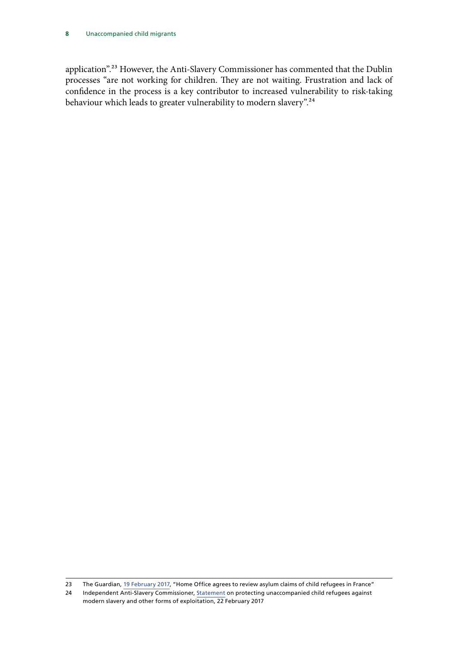#### **8** Unaccompanied child migrants

application".23 However, the Anti-Slavery Commissioner has commented that the Dublin processes "are not working for children. They are not waiting. Frustration and lack of confidence in the process is a key contributor to increased vulnerability to risk-taking behaviour which leads to greater vulnerability to modern slavery".<sup>24</sup>

23 The Guardian, [19 February 2017,](https://www.theguardian.com/uk-news/2017/feb/19/home-office-agrees-to-review-asylum-claims-of-child-refugees-in-france) "Home Office agrees to review asylum claims of child refugees in France"

<sup>24</sup> Independent Anti-Slavery Commissioner, [Statement](http://www.antislaverycommissioner.co.uk/media/1127/iasc-statement-on-protecting-unaccompanied-child-refugees-against-modern-slavery.pdf) on protecting unaccompanied child refugees against modern slavery and other forms of exploitation, 22 February 2017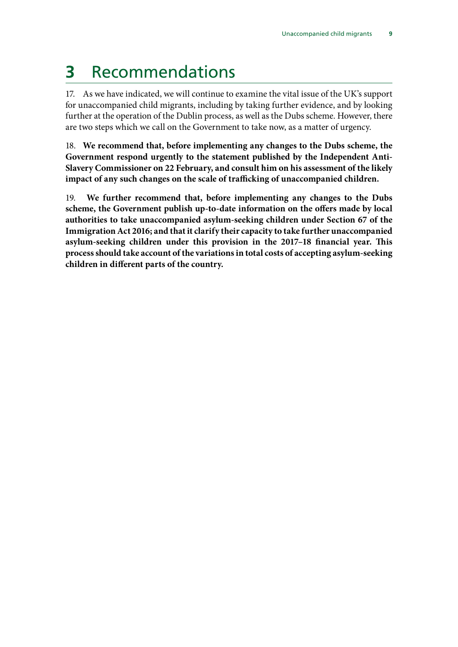# <span id="page-10-0"></span>**3** Recommendations

17. As we have indicated, we will continue to examine the vital issue of the UK's support for unaccompanied child migrants, including by taking further evidence, and by looking further at the operation of the Dublin process, as well as the Dubs scheme. However, there are two steps which we call on the Government to take now, as a matter of urgency.

18. **We recommend that, before implementing any changes to the Dubs scheme, the Government respond urgently to the statement published by the Independent Anti-Slavery Commissioner on 22 February, and consult him on his assessment of the likely impact of any such changes on the scale of trafficking of unaccompanied children.**

19. **We further recommend that, before implementing any changes to the Dubs scheme, the Government publish up-to-date information on the offers made by local authorities to take unaccompanied asylum-seeking children under Section 67 of the Immigration Act 2016; and that it clarify their capacity to take further unaccompanied asylum-seeking children under this provision in the 2017–18 financial year. This process should take account of the variations in total costs of accepting asylum-seeking children in different parts of the country.**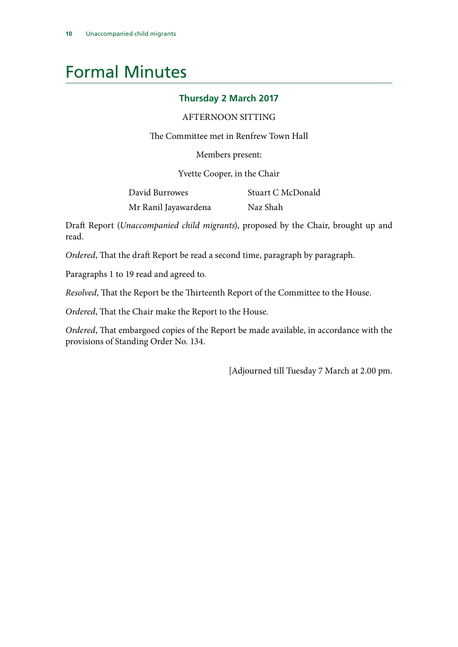# <span id="page-11-0"></span>Formal Minutes

### **Thursday 2 March 2017**

### AFTERNOON SITTING

The Committee met in Renfrew Town Hall

Members present:

Yvette Cooper, in the Chair

| David Burrowes       | Stuart C McDonald |
|----------------------|-------------------|
| Mr Ranil Jayawardena | Naz Shah          |

Draft Report (*Unaccompanied child migrants*), proposed by the Chair, brought up and read.

*Ordered*, That the draft Report be read a second time, paragraph by paragraph.

Paragraphs 1 to 19 read and agreed to.

*Resolved*, That the Report be the Thirteenth Report of the Committee to the House.

*Ordered*, That the Chair make the Report to the House.

*Ordered*, That embargoed copies of the Report be made available, in accordance with the provisions of Standing Order No. 134.

[Adjourned till Tuesday 7 March at 2.00 pm.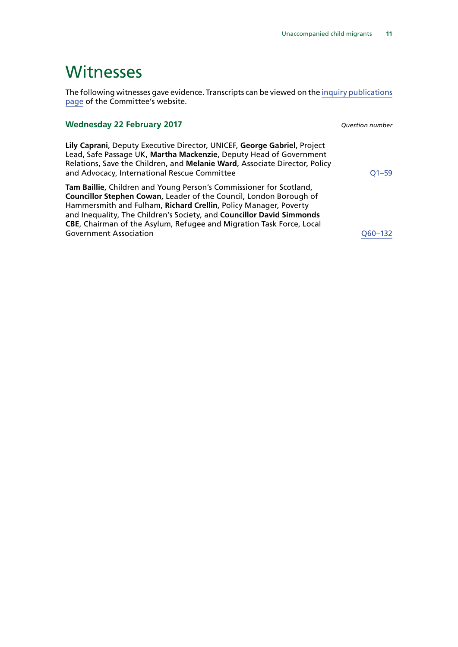## <span id="page-12-0"></span>Witnesses

The following witnesses gave evidence. Transcripts can be viewed on the [inquiry publications](http://www.parliament.uk/business/committees/committees-a-z/commons-select/home-affairs-committee/inquiries/parliament-2015/inquiry15/publications/) [page](http://www.parliament.uk/business/committees/committees-a-z/commons-select/home-affairs-committee/inquiries/parliament-2015/inquiry15/publications/) of the Committee's website.

#### **Wednesday 22 February 2017** *Question number*

**Lily Caprani**, Deputy Executive Director, UNICEF, **George Gabriel**, Project Lead, Safe Passage UK, **Martha Mackenzie**, Deputy Head of Government Relations, Save the Children, and **Melanie Ward**, Associate Director, Policy and Advocacy, International Rescue Committee [Q1–59](http://data.parliament.uk/writtenevidence/committeeevidence.svc/evidencedocument/home-affairs-committee/child-migrants/oral/47517.html)

**Tam Baillie**, Children and Young Person's Commissioner for Scotland, **Councillor Stephen Cowan**, Leader of the Council, London Borough of Hammersmith and Fulham, **Richard Crellin**, Policy Manager, Poverty and Inequality, The Children's Society, and **Councillor David Simmonds CBE**, Chairman of the Asylum, Refugee and Migration Task Force, Local Government Association and the contract of the Covernment Association and the Covernment Association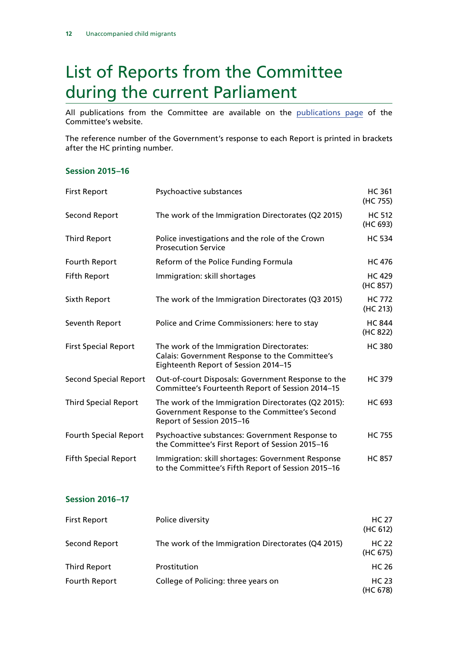# <span id="page-13-0"></span>List of Reports from the Committee during the current Parliament

All publications from the Committee are available on the [publications page](http://www.parliament.uk/business/committees/committees-a-z/commons-select/home-affairs-committee/publications/) of the Committee's website.

The reference number of the Government's response to each Report is printed in brackets after the HC printing number.

### **Session 2015–16**

| <b>First Report</b>          | Psychoactive substances                                                                                                             | <b>HC 361</b><br>(HC 755) |
|------------------------------|-------------------------------------------------------------------------------------------------------------------------------------|---------------------------|
| Second Report                | The work of the Immigration Directorates (Q2 2015)                                                                                  | <b>HC 512</b><br>(HC 693) |
| <b>Third Report</b>          | Police investigations and the role of the Crown<br><b>Prosecution Service</b>                                                       | <b>HC 534</b>             |
| Fourth Report                | Reform of the Police Funding Formula                                                                                                | <b>HC 476</b>             |
| <b>Fifth Report</b>          | Immigration: skill shortages                                                                                                        | <b>HC 429</b><br>(HC 857) |
| Sixth Report                 | The work of the Immigration Directorates (Q3 2015)                                                                                  | <b>HC 772</b><br>(HC 213) |
| Seventh Report               | Police and Crime Commissioners: here to stay                                                                                        | <b>HC 844</b><br>(HC 822) |
| <b>First Special Report</b>  | The work of the Immigration Directorates:<br>Calais: Government Response to the Committee's<br>Eighteenth Report of Session 2014-15 | <b>HC380</b>              |
| <b>Second Special Report</b> | Out-of-court Disposals: Government Response to the<br>Committee's Fourteenth Report of Session 2014-15                              | <b>HC 379</b>             |
| <b>Third Special Report</b>  | The work of the Immigration Directorates (Q2 2015):<br>Government Response to the Committee's Second<br>Report of Session 2015-16   | HC 693                    |
| <b>Fourth Special Report</b> | Psychoactive substances: Government Response to<br>the Committee's First Report of Session 2015-16                                  | <b>HC 755</b>             |
| <b>Fifth Special Report</b>  | Immigration: skill shortages: Government Response<br>to the Committee's Fifth Report of Session 2015-16                             | <b>HC 857</b>             |

### **Session 2016–17**

| <b>First Report</b> | Police diversity                                   | <b>HC 27</b><br>(HC 612) |
|---------------------|----------------------------------------------------|--------------------------|
| Second Report       | The work of the Immigration Directorates (Q4 2015) | <b>HC 22</b><br>(HC 675) |
| Third Report        | <b>Prostitution</b>                                | <b>HC 26</b>             |
| Fourth Report       | College of Policing: three years on                | <b>HC 23</b><br>(HC 678) |